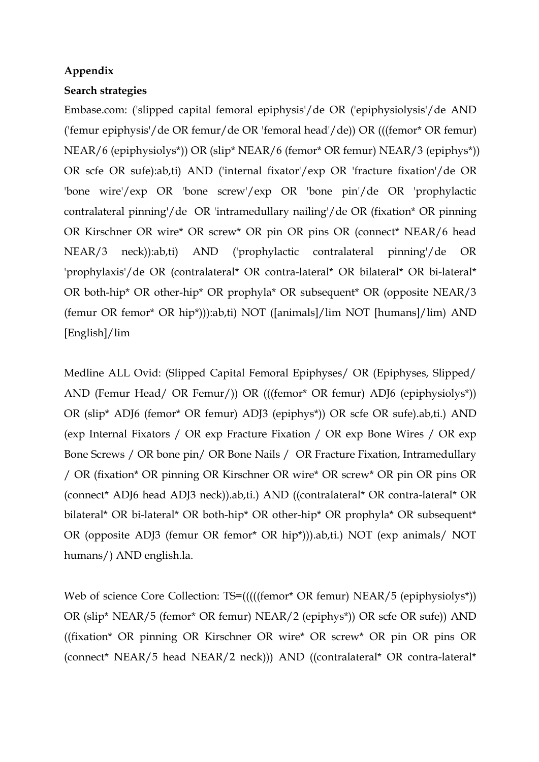## **Appendix**

## **Search strategies**

Embase.com: ('slipped capital femoral epiphysis'/de OR ('epiphysiolysis'/de AND ('femur epiphysis'/de OR femur/de OR 'femoral head'/de)) OR (((femor\* OR femur) NEAR/6 (epiphysiolys\*)) OR (slip\* NEAR/6 (femor\* OR femur) NEAR/3 (epiphys\*)) OR scfe OR sufe):ab,ti) AND ('internal fixator'/exp OR 'fracture fixation'/de OR 'bone wire'/exp OR 'bone screw'/exp OR 'bone pin'/de OR 'prophylactic contralateral pinning'/de OR 'intramedullary nailing'/de OR (fixation\* OR pinning OR Kirschner OR wire\* OR screw\* OR pin OR pins OR (connect\* NEAR/6 head NEAR/3 neck)):ab,ti) AND ('prophylactic contralateral pinning'/de OR 'prophylaxis'/de OR (contralateral\* OR contra-lateral\* OR bilateral\* OR bi-lateral\* OR both-hip\* OR other-hip\* OR prophyla\* OR subsequent\* OR (opposite NEAR/3 (femur OR femor\* OR hip\*))):ab,ti) NOT ([animals]/lim NOT [humans]/lim) AND [English]/lim

Medline ALL Ovid: (Slipped Capital Femoral Epiphyses/ OR (Epiphyses, Slipped/ AND (Femur Head/ OR Femur/)) OR (((femor\* OR femur) ADJ6 (epiphysiolys\*)) OR (slip\* ADJ6 (femor\* OR femur) ADJ3 (epiphys\*)) OR scfe OR sufe).ab,ti.) AND (exp Internal Fixators / OR exp Fracture Fixation / OR exp Bone Wires / OR exp Bone Screws / OR bone pin/ OR Bone Nails / OR Fracture Fixation, Intramedullary / OR (fixation\* OR pinning OR Kirschner OR wire\* OR screw\* OR pin OR pins OR (connect\* ADJ6 head ADJ3 neck)).ab,ti.) AND ((contralateral\* OR contra-lateral\* OR bilateral\* OR bi-lateral\* OR both-hip\* OR other-hip\* OR prophyla\* OR subsequent\* OR (opposite ADJ3 (femur OR femor\* OR hip\*))).ab,ti.) NOT (exp animals/ NOT humans/) AND english.la.

Web of science Core Collection: TS=(((((femor\* OR femur) NEAR/5 (epiphysiolys\*)) OR (slip\* NEAR/5 (femor\* OR femur) NEAR/2 (epiphys\*)) OR scfe OR sufe)) AND ((fixation\* OR pinning OR Kirschner OR wire\* OR screw\* OR pin OR pins OR (connect\* NEAR/5 head NEAR/2 neck))) AND ((contralateral\* OR contra-lateral\*